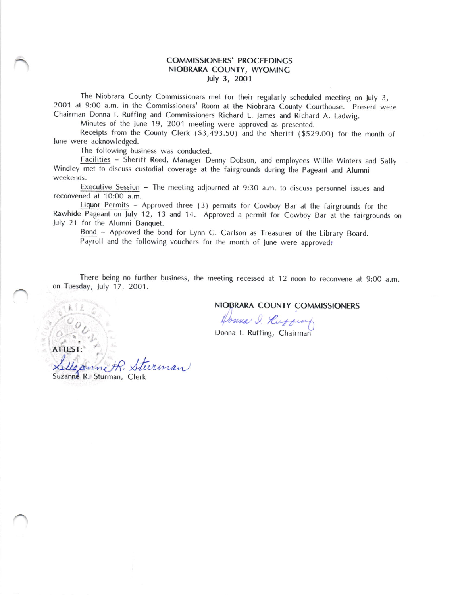## COMMISSIONERS' PROCEEDINGS NIOBRARA COUNTY, WYOMINC July 3, 2oO1

The Niobrara County Commissioners met for their regularly scheduled meeting on July 3, 2001 at 9:00 a.m. in the Commissioners' Room at the Niobrara County Courthouse. Present were Chairman Donna l. Ruffing and Commissioners Richard L. lames and Richard A. Ladwig.

Minutes of the lune 19, 2001 meeting were approved as presented.

Receipts from the County Clerk (\$3,493.50) and the Sheriff (\$529.00) for the month of June were acknowledged.

The following business was conducted.

Facilities - Sheriff Reed, Manager Denny Dobson, and employees Willie Winters and Sally Windley met to discuss custodial coverage at the fairgrounds during the Pageant and Alumni weekends.

Executive Session - The meeting adjourned at 9:30 a.m. to discuss personnel issues and reconvened at 1O:O0 a.m.

.<br>hido Liquor Permits - Approved three (3) permits for Cowboy Bar at the fairgrounds for the Rawhide Pageant on July 12, 13 and 14. Approved a permit for Cowboy Bar at the fairgrounds on July 21 for the Alumni Banquet.

Bond - Approved the bond for Lynn C. Carlson as Treasurer of the Library Board. Payroll and the following vouchers for the month of June were approved:

There being no further business, the meeting recessed at 12 noon to reconvene at 9:00 a.m. on Tuesday, luly 17, 2OO1.

NIoBRARA COUNTY COMMISSIONERS

Houna I. Kuffing

Donna I. Ruffing, Chairman

turman ATTEST:

Suzanne R. Sturman, Clerk

i